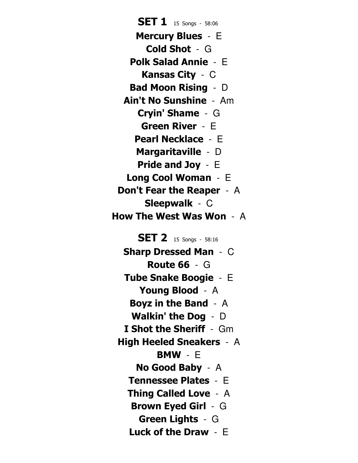Sharp Dressed Man - C Route 66 - G Tube Snake Boogie - E Young Blood - A Boyz in the Band - A Walkin' the Dog - D **I Shot the Sheriff - Gm** High Heeled Sneakers - A BMW - E No Good Baby - A Tennessee Plates - E Thing Called Love - A Brown Eyed Girl - G Green Lights - G Luck of the Draw - E Mercury Blues - E Cold Shot - G Polk Salad Annie - E Kansas City - C Bad Moon Rising - D Ain't No Sunshine - Am Cryin' Shame - G Green River - E Pearl Necklace - E Margaritaville - D Pride and Joy - E Long Cool Woman - E Don't Fear the Reaper - A Sleepwalk - C How The West Was Won - A **SET 2** 15 Songs - 58:16 **SET 1** 15 Songs - 58:06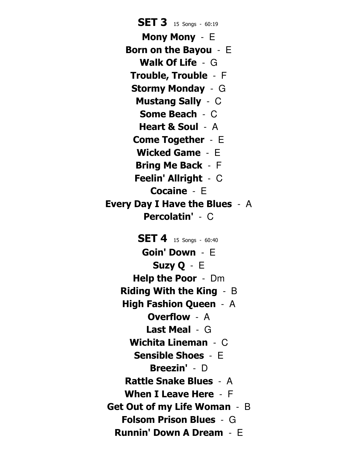Mony Mony - E Born on the Bayou - E Walk Of Life - G Trouble, Trouble - F Stormy Monday - G Mustang Sally - C Some Beach - C Heart & Soul - A Come Together - E Wicked Game - E Bring Me Back - F Feelin' Allright - C Cocaine - E Every Day I Have the Blues - A Percolatin' - C Goin' Down - E Suzy Q - E Help the Poor - Dm Riding With the King - B High Fashion Queen - A Overflow - A Last Meal - G Wichita Lineman - C Sensible Shoes - E Breezin' - D Rattle Snake Blues - A When I Leave Here - F Get Out of my Life Woman - B Folsom Prison Blues - G Runnin' Down A Dream - E **SET 3** 15 Songs - 60:19 **SET 4** 15 Songs - 60:40